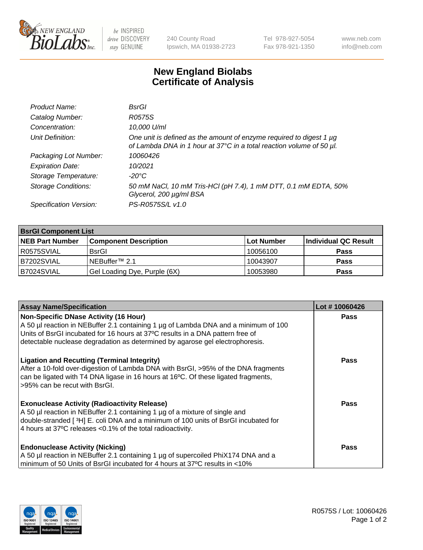

 $be$  INSPIRED drive DISCOVERY stay GENUINE

240 County Road Ipswich, MA 01938-2723 Tel 978-927-5054 Fax 978-921-1350 www.neb.com info@neb.com

## **New England Biolabs Certificate of Analysis**

| Product Name:              | BsrGl                                                                                                                                       |
|----------------------------|---------------------------------------------------------------------------------------------------------------------------------------------|
| Catalog Number:            | R0575S                                                                                                                                      |
| Concentration:             | 10,000 U/ml                                                                                                                                 |
| Unit Definition:           | One unit is defined as the amount of enzyme required to digest 1 µg<br>of Lambda DNA in 1 hour at 37°C in a total reaction volume of 50 µl. |
| Packaging Lot Number:      | 10060426                                                                                                                                    |
| <b>Expiration Date:</b>    | 10/2021                                                                                                                                     |
| Storage Temperature:       | -20°C                                                                                                                                       |
| <b>Storage Conditions:</b> | 50 mM NaCl, 10 mM Tris-HCl (pH 7.4), 1 mM DTT, 0.1 mM EDTA, 50%<br>Glycerol, 200 µg/ml BSA                                                  |
| Specification Version:     | PS-R0575S/L v1.0                                                                                                                            |

| <b>BsrGI Component List</b> |                              |            |                      |  |
|-----------------------------|------------------------------|------------|----------------------|--|
| <b>NEB Part Number</b>      | <b>Component Description</b> | Lot Number | Individual QC Result |  |
| I R0575SVIAL                | <b>BsrGI</b>                 | 10056100   | <b>Pass</b>          |  |
| B7202SVIAL                  | INEBuffer™ 2.1               | 10043907   | <b>Pass</b>          |  |
| B7024SVIAL                  | Gel Loading Dye, Purple (6X) | 10053980   | <b>Pass</b>          |  |

| <b>Assay Name/Specification</b>                                                                                                                                                                                                                                                        | Lot #10060426 |
|----------------------------------------------------------------------------------------------------------------------------------------------------------------------------------------------------------------------------------------------------------------------------------------|---------------|
| <b>Non-Specific DNase Activity (16 Hour)</b><br>A 50 µl reaction in NEBuffer 2.1 containing 1 µg of Lambda DNA and a minimum of 100                                                                                                                                                    | <b>Pass</b>   |
| Units of BsrGI incubated for 16 hours at 37°C results in a DNA pattern free of<br>detectable nuclease degradation as determined by agarose gel electrophoresis.                                                                                                                        |               |
| <b>Ligation and Recutting (Terminal Integrity)</b><br>After a 10-fold over-digestion of Lambda DNA with BsrGI, >95% of the DNA fragments<br>can be ligated with T4 DNA ligase in 16 hours at 16°C. Of these ligated fragments,<br>>95% can be recut with BsrGI.                        | <b>Pass</b>   |
| <b>Exonuclease Activity (Radioactivity Release)</b><br>A 50 µl reaction in NEBuffer 2.1 containing 1 µg of a mixture of single and<br>double-stranded [3H] E. coli DNA and a minimum of 100 units of BsrGI incubated for<br>4 hours at 37°C releases <0.1% of the total radioactivity. | <b>Pass</b>   |
| <b>Endonuclease Activity (Nicking)</b><br>A 50 µl reaction in NEBuffer 2.1 containing 1 µg of supercoiled PhiX174 DNA and a<br>minimum of 50 Units of BsrGI incubated for 4 hours at 37°C results in <10%                                                                              | Pass          |